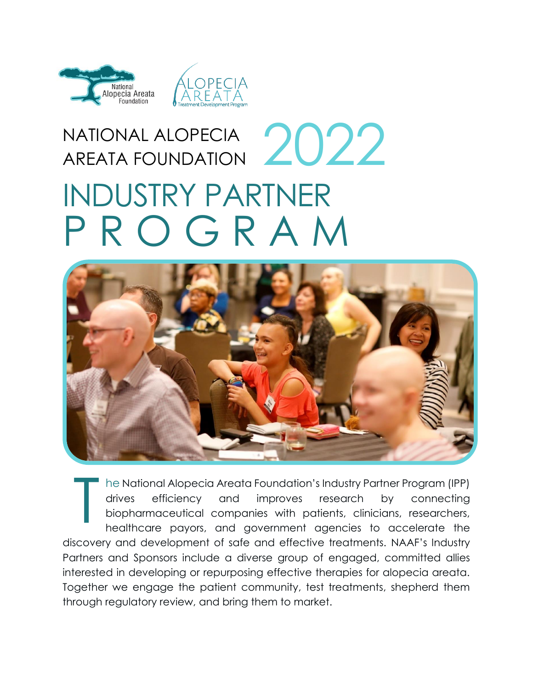

# NATIONAL ALOPECIA AREATA FOUNDATION INDUSTRY PARTNER P R O G R A M 2022



he National Alopecia Areata Foundation's Industry Partner Program (IPP) drives efficiency and improves research by connecting biopharmaceutical companies with patients, clinicians, researchers, healthcare payors, and government agencies to accelerate the discovery and development of safe and effective treatments. NAAF's Industry Partners and Sponsors include a diverse group of engaged, committed allies interested in developing or repurposing effective therapies for alopecia areata. Together we engage the patient community, test treatments, shepherd them through regulatory review, and bring them to market. T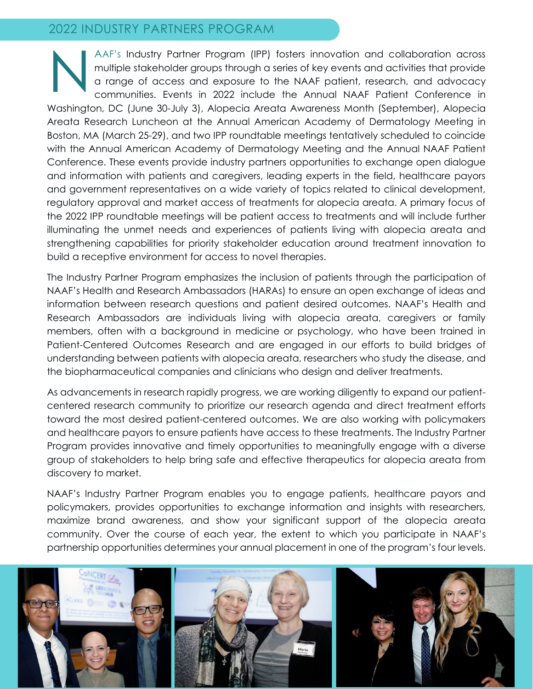#### 2022 INDUSTRY PARTNERS PROGRAM

AAF's Industry Partner Program (IPP) fosters innovation and collaboration across multiple stakeholder groups through a series of key events and activities that provide a range of access and exposure to the NAAF patient, research, and advocacy communities. Events in 2022 include the Annual NAAF Patient Conference in Washington, DC (June 30-July 3), Alopecia Areata Awareness Month (September), Alopecia Areata Research Luncheon at the Annual American Academy of Dermatology Meeting in Boston, MA (March 25-29), and two IPP roundtable meetings tentatively scheduled to coincide with the Annual American Academy of Dermatology Meeting and the Annual NAAF Patient Conference. These events provide industry partners opportunities to exchange open dialogue and information with patients and caregivers, leading experts in the field, healthcare payors and government representatives on a wide variety of topics related to clinical development, regulatory approval and market access of treatments for alopecia areata. A primary focus of the 2022 IPP roundtable meetings will be patient access to treatments and will include further illuminating the unmet needs and experiences of patients living with alopecia areata and strengthening capabilities for priority stakeholder education around treatment innovation to build a receptive environment for access to novel therapies. N

The Industry Partner Program emphasizes the inclusion of patients through the participation of NAAF's Health and Research Ambassadors (HARAs) to ensure an open exchange of ideas and information between research questions and patient desired outcomes. NAAF's Health and Research Ambassadors are individuals living with alopecia areata, caregivers or family members, often with a background in medicine or psychology, who have been trained in Patient-Centered Outcomes Research and are engaged in our efforts to build bridges of understanding between patients with alopecia areata, researchers who study the disease, and the biopharmaceutical companies and clinicians who design and deliver treatments.

As advancements in research rapidly progress, we are working diligently to expand our patientcentered research community to prioritize our research agenda and direct treatment efforts toward the most desired patient-centered outcomes. We are also working with policymakers and healthcare payors to ensure patients have access to these treatments. The Industry Partner Program provides innovative and timely opportunities to meaningfully engage with a diverse group of stakeholders to help bring safe and effective therapeutics for alopecia areata from discovery to market.

NAAF's Industry Partner Program enables you to engage patients, healthcare payors and policymakers, provides opportunities to exchange information and insights with researchers, maximize brand awareness, and show your significant support of the alopecia areata community. Over the course of each year, the extent to which you participate in NAAF's partnership opportunities determines your annual placement in one of the program's four levels.

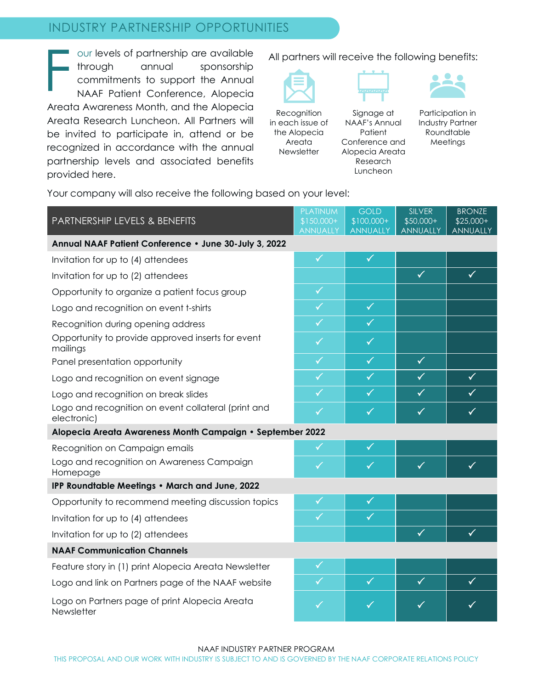#### INDUSTRY PARTNERSHIP OPPORTUNITIES

our levels of partnership are available through annual sponsorship commitments to support the Annual NAAF Patient Conference, Alopecia Areata Awareness Month, and the Alopecia Areata Research Luncheon. All Partners will be invited to participate in, attend or be recognized in accordance with the annual partnership levels and associated benefits provided here. F

All partners will receive the following benefits:



Recognition in each issue of the Alopecia Areata **Newsletter** 

Signage at NAAF's Annual Patient Conference and Alopecia Areata Research Luncheon



Participation in Industry Partner Roundtable Meetings

Your company will also receive the following based on your level:

| PARTNERSHIP LEVELS & BENEFITS                                      | <b>PLATINUM</b><br>$$150,000+$<br><b>ANNUALLY</b> | <b>GOLD</b><br>$$100,000+$<br><b>ANNUALLY</b> | <b>SILVER</b><br>$$50,000+$<br><b>ANNUALLY</b> | <b>BRONZE</b><br>$$25,000+$<br><b>ANNUALLY</b> |  |  |
|--------------------------------------------------------------------|---------------------------------------------------|-----------------------------------------------|------------------------------------------------|------------------------------------------------|--|--|
| Annual NAAF Patient Conference . June 30-July 3, 2022              |                                                   |                                               |                                                |                                                |  |  |
| Invitation for up to (4) attendees                                 | $\checkmark$                                      | $\checkmark$                                  |                                                |                                                |  |  |
| Invitation for up to (2) attendees                                 |                                                   |                                               | $\checkmark$                                   | $\checkmark$                                   |  |  |
| Opportunity to organize a patient focus group                      | $\checkmark$                                      |                                               |                                                |                                                |  |  |
| Logo and recognition on event t-shirts                             | $\checkmark$                                      | $\checkmark$                                  |                                                |                                                |  |  |
| Recognition during opening address                                 | $\checkmark$                                      | $\checkmark$                                  |                                                |                                                |  |  |
| Opportunity to provide approved inserts for event<br>mailings      | $\checkmark$                                      | $\checkmark$                                  |                                                |                                                |  |  |
| Panel presentation opportunity                                     | $\checkmark$                                      | $\checkmark$                                  | $\checkmark$                                   |                                                |  |  |
| Logo and recognition on event signage                              | $\checkmark$                                      | $\checkmark$                                  | $\checkmark$                                   | $\checkmark$                                   |  |  |
| Logo and recognition on break slides                               | $\checkmark$                                      | $\checkmark$                                  | $\checkmark$                                   | $\checkmark$                                   |  |  |
| Logo and recognition on event collateral (print and<br>electronic) | $\checkmark$                                      | $\checkmark$                                  | $\checkmark$                                   | $\checkmark$                                   |  |  |
| Alopecia Areata Awareness Month Campaign • September 2022          |                                                   |                                               |                                                |                                                |  |  |
| Recognition on Campaign emails                                     | $\checkmark$                                      | $\checkmark$                                  |                                                |                                                |  |  |
| Logo and recognition on Awareness Campaign<br>Homepage             | $\checkmark$                                      | $\checkmark$                                  | $\checkmark$                                   | $\checkmark$                                   |  |  |
| IPP Roundtable Meetings . March and June, 2022                     |                                                   |                                               |                                                |                                                |  |  |
| Opportunity to recommend meeting discussion topics                 | $\checkmark$                                      | $\checkmark$                                  |                                                |                                                |  |  |
| Invitation for up to (4) attendees                                 | $\checkmark$                                      | $\checkmark$                                  |                                                |                                                |  |  |
| Invitation for up to (2) attendees                                 |                                                   |                                               | $\checkmark$                                   | $\checkmark$                                   |  |  |
| <b>NAAF Communication Channels</b>                                 |                                                   |                                               |                                                |                                                |  |  |
| Feature story in (1) print Alopecia Areata Newsletter              | $\checkmark$                                      |                                               |                                                |                                                |  |  |
| Logo and link on Partners page of the NAAF website                 | $\checkmark$                                      | $\checkmark$                                  | $\checkmark$                                   | $\checkmark$                                   |  |  |
| Logo on Partners page of print Alopecia Areata<br>Newsletter       | ✓                                                 | ✓                                             | ✓                                              | ✓                                              |  |  |

NAAF INDUSTRY PARTNER PROGRAM